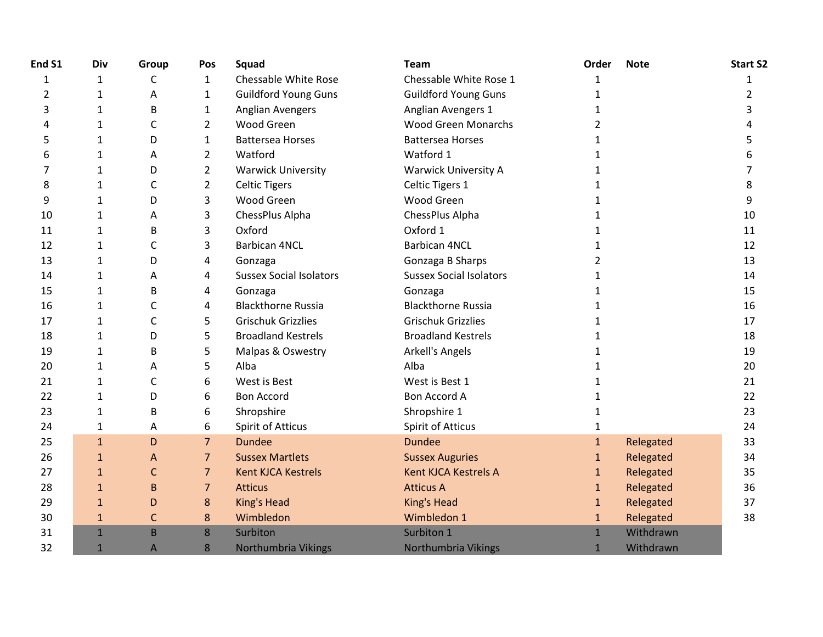| End S1 | Div          | Group        | <b>Pos</b>     | Squad                          | <b>Team</b>                    | Order          | <b>Note</b> | <b>Start S2</b> |
|--------|--------------|--------------|----------------|--------------------------------|--------------------------------|----------------|-------------|-----------------|
| 1      | $\mathbf{1}$ | C            | $\mathbf{1}$   | Chessable White Rose           | Chessable White Rose 1         | $\mathbf{1}$   |             | 1               |
| 2      | 1            | Α            | $\mathbf{1}$   | <b>Guildford Young Guns</b>    | <b>Guildford Young Guns</b>    | 1              |             | 2               |
| 3      | $\mathbf{1}$ | В            | 1              | <b>Anglian Avengers</b>        | Anglian Avengers 1             | 1              |             |                 |
| 4      | 1            | C            | $\overline{2}$ | Wood Green                     | <b>Wood Green Monarchs</b>     | $\overline{2}$ |             |                 |
| 5      | 1            | D            | $\mathbf{1}$   | <b>Battersea Horses</b>        | <b>Battersea Horses</b>        |                |             | 5.              |
| 6      | 1            | A            | $\overline{2}$ | Watford                        | Watford 1                      | 1              |             |                 |
| 7      | $\mathbf{1}$ | D            | $\overline{2}$ | <b>Warwick University</b>      | <b>Warwick University A</b>    | 1              |             |                 |
| 8      | 1            | С            | $\overline{2}$ | <b>Celtic Tigers</b>           | Celtic Tigers 1                | 1              |             | 8               |
| 9      | $\mathbf{1}$ | D            | 3              | <b>Wood Green</b>              | <b>Wood Green</b>              |                |             | 9               |
| 10     | $\mathbf{1}$ | Α            | 3              | ChessPlus Alpha                | ChessPlus Alpha                | 1              |             | 10              |
| 11     | $\mathbf{1}$ | B            | 3              | Oxford                         | Oxford 1                       | 1              |             | 11              |
| 12     | 1            | С            | 3              | <b>Barbican 4NCL</b>           | <b>Barbican 4NCL</b>           | 1              |             | 12              |
| 13     | 1            | D            | 4              | Gonzaga                        | Gonzaga B Sharps               | $\overline{2}$ |             | 13              |
| 14     | $\mathbf{1}$ | Α            | 4              | <b>Sussex Social Isolators</b> | <b>Sussex Social Isolators</b> | 1              |             | 14              |
| 15     | 1            | B            | 4              | Gonzaga                        | Gonzaga                        | 1              |             | 15              |
| 16     | $\mathbf{1}$ | C            | 4              | <b>Blackthorne Russia</b>      | <b>Blackthorne Russia</b>      | 1              |             | 16              |
| 17     | 1            | С            | 5              | <b>Grischuk Grizzlies</b>      | <b>Grischuk Grizzlies</b>      | 1              |             | 17              |
| 18     | $\mathbf{1}$ | D            | 5              | <b>Broadland Kestrels</b>      | <b>Broadland Kestrels</b>      |                |             | 18              |
| 19     | 1            | В            | 5              | Malpas & Oswestry              | Arkell's Angels                | 1              |             | 19              |
| 20     | 1            | A            | 5              | Alba                           | Alba                           |                |             | 20              |
| 21     | 1            | C            | 6              | West is Best                   | West is Best 1                 | 1              |             | 21              |
| 22     | $\mathbf{1}$ | D            | 6              | <b>Bon Accord</b>              | <b>Bon Accord A</b>            | 1              |             | 22              |
| 23     | $\mathbf{1}$ | B            | 6              | Shropshire                     | Shropshire 1                   | 1              |             | 23              |
| 24     | 1            | A            | 6              | <b>Spirit of Atticus</b>       | <b>Spirit of Atticus</b>       |                |             | 24              |
| 25     | $\mathbf{1}$ | D            | $\overline{7}$ | <b>Dundee</b>                  | <b>Dundee</b>                  | $\mathbf{1}$   | Relegated   | 33              |
| 26     | $\mathbf{1}$ | A            | $\overline{7}$ | <b>Sussex Martlets</b>         | <b>Sussex Auguries</b>         | $\mathbf{1}$   | Relegated   | 34              |
| 27     | $\mathbf{1}$ | C            | $\overline{7}$ | <b>Kent KJCA Kestrels</b>      | <b>Kent KJCA Kestrels A</b>    | $\mathbf{1}$   | Relegated   | 35              |
| 28     | $\mathbf{1}$ | B            | $\overline{7}$ | <b>Atticus</b>                 | <b>Atticus A</b>               | $\mathbf{1}$   | Relegated   | 36              |
| 29     | $\mathbf{1}$ | D            | 8              | King's Head                    | King's Head                    | $\mathbf{1}$   | Relegated   | 37              |
| 30     | $\mathbf{1}$ | $\mathsf{C}$ | 8              | Wimbledon                      | Wimbledon 1                    | $\mathbf{1}$   | Relegated   | 38              |
| 31     | $\mathbf{1}$ | B            | 8              | Surbiton                       | Surbiton 1                     | $\mathbf{1}$   | Withdrawn   |                 |
| 32     | $\mathbf{1}$ | A            | 8              | Northumbria Vikings            | Northumbria Vikings            | $\mathbf{1}$   | Withdrawn   |                 |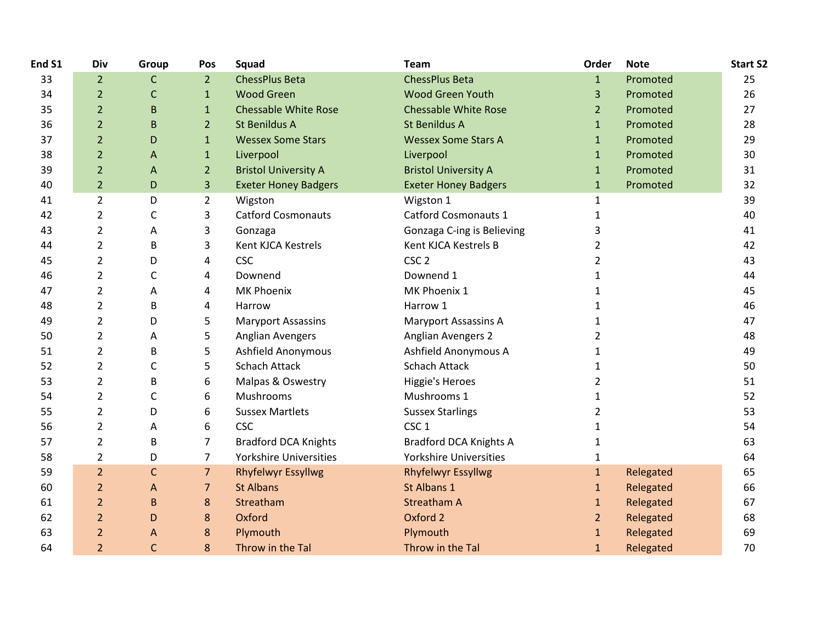| End S1 | Div            | Group        | Pos            | Squad                       | <b>Team</b>                   | Order          | <b>Note</b> | <b>Start S2</b> |
|--------|----------------|--------------|----------------|-----------------------------|-------------------------------|----------------|-------------|-----------------|
| 33     | $\overline{2}$ | $\mathsf C$  | $\overline{2}$ | <b>ChessPlus Beta</b>       | <b>ChessPlus Beta</b>         | $\mathbf{1}$   | Promoted    | 25              |
| 34     | $\overline{2}$ | $\mathsf{C}$ | $\mathbf{1}$   | <b>Wood Green</b>           | <b>Wood Green Youth</b>       | 3              | Promoted    | 26              |
| 35     | $\overline{2}$ | B            | $\mathbf{1}$   | <b>Chessable White Rose</b> | <b>Chessable White Rose</b>   | $\overline{2}$ | Promoted    | 27              |
| 36     | $\overline{2}$ | B            | $\overline{2}$ | St Benildus A               | <b>St Benildus A</b>          | $\mathbf{1}$   | Promoted    | 28              |
| 37     | $\overline{2}$ | D            | $\mathbf{1}$   | <b>Wessex Some Stars</b>    | <b>Wessex Some Stars A</b>    | $\mathbf{1}$   | Promoted    | 29              |
| 38     | $\overline{2}$ | A            | $\mathbf{1}$   | Liverpool                   | Liverpool                     | $\mathbf{1}$   | Promoted    | 30              |
| 39     | $\overline{2}$ | A            | $\overline{2}$ | <b>Bristol University A</b> | <b>Bristol University A</b>   | $\mathbf{1}$   | Promoted    | 31              |
| 40     | $\overline{2}$ | D            | 3              | <b>Exeter Honey Badgers</b> | <b>Exeter Honey Badgers</b>   | $\mathbf{1}$   | Promoted    | 32              |
| 41     | $\overline{2}$ | D            | $\overline{2}$ | Wigston                     | Wigston 1                     | $\mathbf{1}$   |             | 39              |
| 42     | 2              | C            | 3              | <b>Catford Cosmonauts</b>   | <b>Catford Cosmonauts 1</b>   | $\mathbf{1}$   |             | 40              |
| 43     | $\overline{2}$ | Α            | 3              | Gonzaga                     | Gonzaga C-ing is Believing    | 3              |             | 41              |
| 44     | $\overline{2}$ | B            | 3              | Kent KJCA Kestrels          | Kent KJCA Kestrels B          | $\overline{2}$ |             | 42              |
| 45     | $\overline{2}$ | D            | 4              | <b>CSC</b>                  | CSC <sub>2</sub>              | 2              |             | 43              |
| 46     | $\overline{2}$ | C            | 4              | Downend                     | Downend 1                     | 1              |             | 44              |
| 47     | $\overline{2}$ | А            | 4              | <b>MK Phoenix</b>           | MK Phoenix 1                  | 1              |             | 45              |
| 48     | $\overline{2}$ | B            | 4              | Harrow                      | Harrow 1                      | $\mathbf{1}$   |             | 46              |
| 49     | $\overline{2}$ | D            | 5              | <b>Maryport Assassins</b>   | <b>Maryport Assassins A</b>   | 1              |             | 47              |
| 50     | $\overline{2}$ | А            | 5              | Anglian Avengers            | <b>Anglian Avengers 2</b>     | 2              |             | 48              |
| 51     | $\overline{2}$ | B            | 5              | <b>Ashfield Anonymous</b>   | Ashfield Anonymous A          | 1              |             | 49              |
| 52     | $\overline{2}$ | C            | 5              | Schach Attack               | <b>Schach Attack</b>          | $\mathbf{1}$   |             | 50              |
| 53     | $\overline{2}$ | B            | 6              | Malpas & Oswestry           | <b>Higgie's Heroes</b>        | $\overline{2}$ |             | 51              |
| 54     | $\overline{2}$ | C            | 6              | Mushrooms                   | Mushrooms 1                   | 1              |             | 52              |
| 55     | $\overline{2}$ | D            | 6              | <b>Sussex Martlets</b>      | <b>Sussex Starlings</b>       | $\overline{2}$ |             | 53              |
| 56     | $\overline{2}$ | A            | 6              | <b>CSC</b>                  | CSC <sub>1</sub>              | 1              |             | 54              |
| 57     | $\overline{2}$ | B            | $\overline{7}$ | <b>Bradford DCA Knights</b> | <b>Bradford DCA Knights A</b> | 1              |             | 63              |
| 58     | $\overline{2}$ | D            | $\overline{7}$ | Yorkshire Universities      | Yorkshire Universities        | $\mathbf{1}$   |             | 64              |
| 59     | $\overline{2}$ | $\mathsf{C}$ | $\overline{7}$ | <b>Rhyfelwyr Essyllwg</b>   | <b>Rhyfelwyr Essyllwg</b>     | $\mathbf{1}$   | Relegated   | 65              |
| 60     | $\overline{2}$ | Α            | $\overline{7}$ | <b>St Albans</b>            | St Albans 1                   | $\mathbf{1}$   | Relegated   | 66              |
| 61     | $\overline{2}$ | $\sf B$      | 8              | Streatham                   | <b>Streatham A</b>            | $\mathbf{1}$   | Relegated   | 67              |
| 62     | $\overline{2}$ | D            | 8              | Oxford                      | Oxford 2                      | $\overline{2}$ | Relegated   | 68              |
| 63     | $\overline{2}$ | A            | 8              | Plymouth                    | Plymouth                      | $\mathbf{1}$   | Relegated   | 69              |
| 64     | $\overline{2}$ | $\mathsf{C}$ | 8              | Throw in the Tal            | Throw in the Tal              | $\mathbf{1}$   | Relegated   | 70              |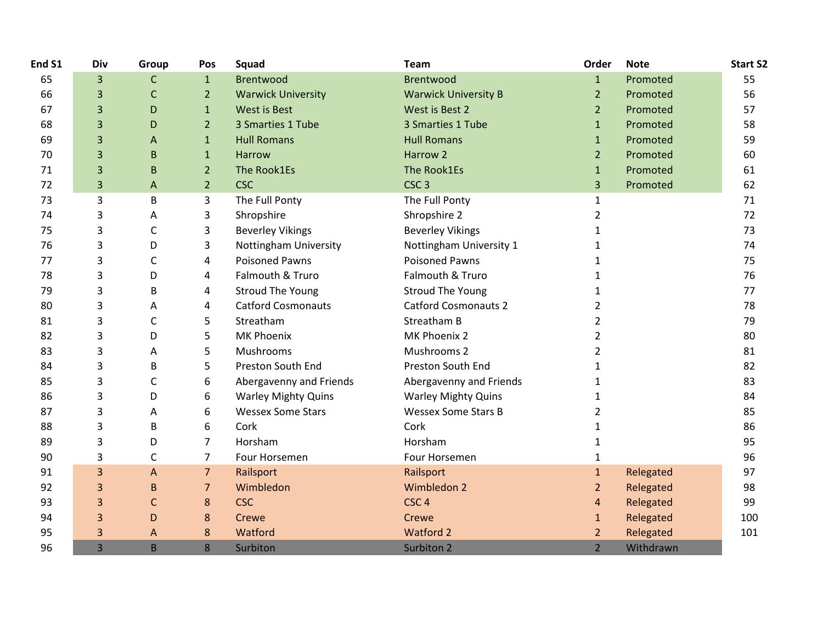| End S1 | Div | Group        | Pos            | Squad                      | Team                        | Order          | <b>Note</b> | <b>Start S2</b> |
|--------|-----|--------------|----------------|----------------------------|-----------------------------|----------------|-------------|-----------------|
| 65     | 3   | $\mathsf C$  | $\mathbf{1}$   | <b>Brentwood</b>           | <b>Brentwood</b>            | $\mathbf{1}$   | Promoted    | 55              |
| 66     | 3   | $\mathsf{C}$ | $\overline{2}$ | <b>Warwick University</b>  | <b>Warwick University B</b> | $\overline{2}$ | Promoted    | 56              |
| 67     | 3   | D            | $\mathbf{1}$   | <b>West is Best</b>        | West is Best 2              | 2 <sup>1</sup> | Promoted    | 57              |
| 68     | 3   | D            | $\overline{2}$ | 3 Smarties 1 Tube          | 3 Smarties 1 Tube           | $\mathbf{1}$   | Promoted    | 58              |
| 69     | 3   | A            | $\mathbf{1}$   | <b>Hull Romans</b>         | <b>Hull Romans</b>          | $\mathbf{1}$   | Promoted    | 59              |
| 70     | 3   | $\sf B$      | $\mathbf{1}$   | Harrow                     | Harrow <sub>2</sub>         | $\overline{2}$ | Promoted    | 60              |
| 71     | 3   | $\sf B$      | $\overline{2}$ | The Rook1Es                | The Rook1Es                 | $\mathbf{1}$   | Promoted    | 61              |
| 72     | 3   | A            | $\overline{2}$ | <b>CSC</b>                 | CSC <sub>3</sub>            | 3              | Promoted    | 62              |
| 73     | 3   | B            | 3              | The Full Ponty             | The Full Ponty              | $\mathbf{1}$   |             | 71              |
| 74     | 3   | Α            | 3              | Shropshire                 | Shropshire 2                | $\overline{2}$ |             | 72              |
| 75     | 3   | $\mathsf C$  | 3              | <b>Beverley Vikings</b>    | <b>Beverley Vikings</b>     | $\mathbf{1}$   |             | 73              |
| 76     | 3   | D            | 3              | Nottingham University      | Nottingham University 1     | 1              |             | 74              |
| 77     | 3   | С            | 4              | <b>Poisoned Pawns</b>      | <b>Poisoned Pawns</b>       | $\mathbf{1}$   |             | 75              |
| 78     | 3   | D            | 4              | Falmouth & Truro           | Falmouth & Truro            | 1              |             | 76              |
| 79     | 3   | B            | 4              | <b>Stroud The Young</b>    | <b>Stroud The Young</b>     | 1              |             | 77              |
| 80     | 3   | Α            | 4              | <b>Catford Cosmonauts</b>  | <b>Catford Cosmonauts 2</b> | $\overline{2}$ |             | 78              |
| 81     | 3   | C            | 5              | Streatham                  | Streatham B                 | 2              |             | 79              |
| 82     | 3   | D            | 5              | MK Phoenix                 | MK Phoenix 2                | 2              |             | 80              |
| 83     | 3   | Α            | 5              | Mushrooms                  | Mushrooms 2                 | $\overline{2}$ |             | 81              |
| 84     | 3   | B            | 5              | Preston South End          | Preston South End           | 1              |             | 82              |
| 85     | 3   | C            | 6              | Abergavenny and Friends    | Abergavenny and Friends     | 1              |             | 83              |
| 86     | 3   | D            | 6              | <b>Warley Mighty Quins</b> | <b>Warley Mighty Quins</b>  | 1              |             | 84              |
| 87     | 3   | Α            | 6              | <b>Wessex Some Stars</b>   | <b>Wessex Some Stars B</b>  | $\overline{2}$ |             | 85              |
| 88     | 3   | B            | 6              | Cork                       | Cork                        | 1              |             | 86              |
| 89     | 3   | D            | $\overline{7}$ | Horsham                    | Horsham                     | $\mathbf{1}$   |             | 95              |
| 90     | 3   | C            | $\overline{7}$ | Four Horsemen              | Four Horsemen               | $\mathbf{1}$   |             | 96              |
| 91     | 3   | A            | $\overline{7}$ | Railsport                  | Railsport                   | $\mathbf{1}$   | Relegated   | 97              |
| 92     | 3   | $\sf B$      | $\overline{7}$ | Wimbledon                  | Wimbledon 2                 | $\overline{2}$ | Relegated   | 98              |
| 93     | 3   | $\mathsf{C}$ | 8              | <b>CSC</b>                 | CSC <sub>4</sub>            | $\overline{4}$ | Relegated   | 99              |
| 94     | 3   | D            | 8              | Crewe                      | Crewe                       | $\mathbf{1}$   | Relegated   | 100             |
| 95     | 3   | A            | 8              | Watford                    | Watford 2                   | $\overline{2}$ | Relegated   | 101             |
| 96     | 3   | B            | 8              | Surbiton                   | Surbiton 2                  | $\overline{2}$ | Withdrawn   |                 |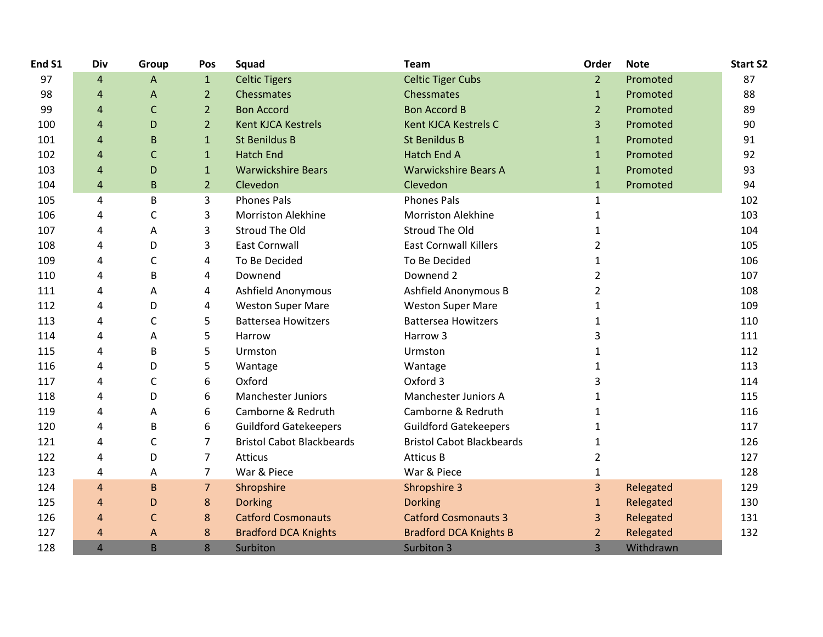| End S1 | Div            | Group        | Pos            | Squad                            | <b>Team</b>                      | Order          | <b>Note</b> | <b>Start S2</b> |
|--------|----------------|--------------|----------------|----------------------------------|----------------------------------|----------------|-------------|-----------------|
| 97     | 4              | A            | $\mathbf{1}$   | <b>Celtic Tigers</b>             | <b>Celtic Tiger Cubs</b>         | 2 <sup>1</sup> | Promoted    | 87              |
| 98     | $\overline{a}$ | Α            | $\overline{2}$ | Chessmates                       | Chessmates                       | $\mathbf{1}$   | Promoted    | 88              |
| 99     | 4              | $\mathsf{C}$ | $\overline{2}$ | <b>Bon Accord</b>                | <b>Bon Accord B</b>              | $\overline{2}$ | Promoted    | 89              |
| 100    | $\overline{a}$ | D            | $\overline{2}$ | <b>Kent KJCA Kestrels</b>        | <b>Kent KJCA Kestrels C</b>      | 3              | Promoted    | 90              |
| 101    | $\overline{4}$ | B            | $\mathbf{1}$   | <b>St Benildus B</b>             | <b>St Benildus B</b>             | $\mathbf{1}$   | Promoted    | 91              |
| 102    | 4              | С            | $\mathbf{1}$   | <b>Hatch End</b>                 | <b>Hatch End A</b>               | $\mathbf{1}$   | Promoted    | 92              |
| 103    | 4              | D            | $\mathbf{1}$   | <b>Warwickshire Bears</b>        | <b>Warwickshire Bears A</b>      | $\mathbf{1}$   | Promoted    | 93              |
| 104    | $\overline{4}$ | B            | $\overline{2}$ | Clevedon                         | Clevedon                         | $\mathbf{1}$   | Promoted    | 94              |
| 105    | 4              | B            | 3              | <b>Phones Pals</b>               | <b>Phones Pals</b>               | 1              |             | 102             |
| 106    | 4              | C            | 3              | <b>Morriston Alekhine</b>        | <b>Morriston Alekhine</b>        | $\mathbf{1}$   |             | 103             |
| 107    | 4              | Α            | 3              | Stroud The Old                   | Stroud The Old                   | $\mathbf{1}$   |             | 104             |
| 108    | 4              | D            | 3              | <b>East Cornwall</b>             | <b>East Cornwall Killers</b>     | 2              |             | 105             |
| 109    | 4              | С            | 4              | To Be Decided                    | To Be Decided                    | 1              |             | 106             |
| 110    | 4              | В            | 4              | Downend                          | Downend 2                        | $\overline{2}$ |             | 107             |
| 111    | 4              | Α            | 4              | Ashfield Anonymous               | Ashfield Anonymous B             | 2              |             | 108             |
| 112    | 4              | D            | 4              | <b>Weston Super Mare</b>         | <b>Weston Super Mare</b>         | 1              |             | 109             |
| 113    | 4              | C            | 5              | <b>Battersea Howitzers</b>       | <b>Battersea Howitzers</b>       | $\mathbf{1}$   |             | 110             |
| 114    | 4              | Α            | 5              | Harrow                           | Harrow 3                         | 3              |             | 111             |
| 115    | 4              | B            | 5              | Urmston                          | Urmston                          | 1              |             | 112             |
| 116    | 4              | D            | 5              | Wantage                          | Wantage                          | 1              |             | 113             |
| 117    | 4              | C            | 6              | Oxford                           | Oxford 3                         | 3              |             | 114             |
| 118    | 4              | D            | 6              | <b>Manchester Juniors</b>        | Manchester Juniors A             | 1              |             | 115             |
| 119    | 4              | Α            | 6              | Camborne & Redruth               | Camborne & Redruth               | 1              |             | 116             |
| 120    | 4              | B            | 6              | <b>Guildford Gatekeepers</b>     | <b>Guildford Gatekeepers</b>     | 1              |             | 117             |
| 121    | 4              | C            | $\overline{7}$ | <b>Bristol Cabot Blackbeards</b> | <b>Bristol Cabot Blackbeards</b> | 1              |             | 126             |
| 122    | 4              | D            | $\overline{7}$ | Atticus                          | <b>Atticus B</b>                 | 2              |             | 127             |
| 123    | 4              | A            | $\overline{7}$ | War & Piece                      | War & Piece                      | $\mathbf{1}$   |             | 128             |
| 124    | $\overline{4}$ | $\mathsf B$  | $\overline{7}$ | Shropshire                       | Shropshire 3                     | $\overline{3}$ | Relegated   | 129             |
| 125    | $\overline{a}$ | D            | 8              | <b>Dorking</b>                   | <b>Dorking</b>                   | $\mathbf{1}$   | Relegated   | 130             |
| 126    | $\overline{4}$ | C            | 8              | <b>Catford Cosmonauts</b>        | <b>Catford Cosmonauts 3</b>      | 3              | Relegated   | 131             |
| 127    | 4              | A            | 8              | <b>Bradford DCA Knights</b>      | <b>Bradford DCA Knights B</b>    | 2              | Relegated   | 132             |
| 128    | $\overline{4}$ | B            | 8              | Surbiton                         | Surbiton 3                       | 3              | Withdrawn   |                 |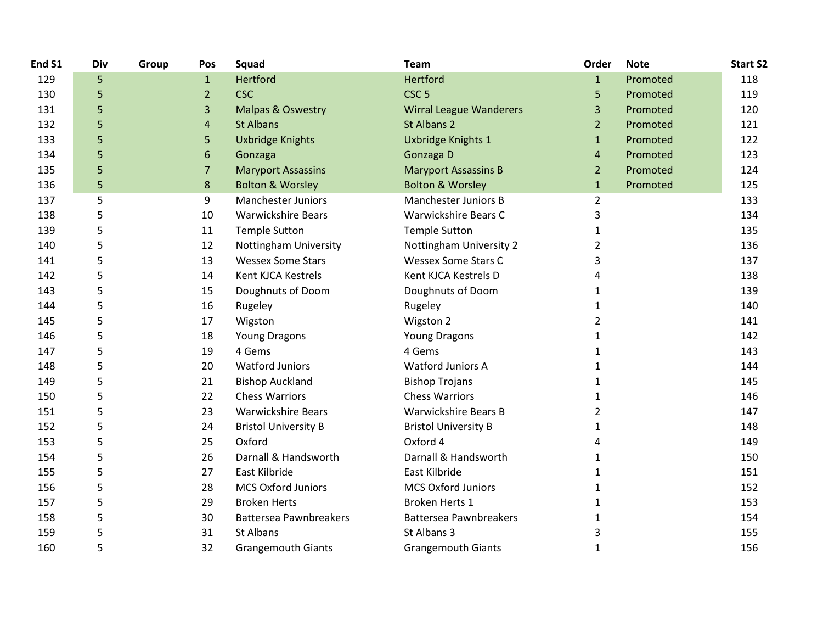| End S1 | Div | Group | Pos            | Squad                         | <b>Team</b>                    | Order          | <b>Note</b> | <b>Start S2</b> |
|--------|-----|-------|----------------|-------------------------------|--------------------------------|----------------|-------------|-----------------|
| 129    | 5   |       | $\mathbf{1}$   | Hertford                      | Hertford                       | $\mathbf{1}$   | Promoted    | 118             |
| 130    | 5   |       | $\overline{2}$ | <b>CSC</b>                    | CSC <sub>5</sub>               | 5              | Promoted    | 119             |
| 131    | 5   |       | 3              | <b>Malpas &amp; Oswestry</b>  | <b>Wirral League Wanderers</b> | 3              | Promoted    | 120             |
| 132    | 5   |       | 4              | <b>St Albans</b>              | St Albans 2                    | $\overline{2}$ | Promoted    | 121             |
| 133    | 5   |       | 5              | <b>Uxbridge Knights</b>       | Uxbridge Knights 1             | $\mathbf{1}$   | Promoted    | 122             |
| 134    | 5   |       | 6              | Gonzaga                       | Gonzaga D                      | 4              | Promoted    | 123             |
| 135    | 5   |       | $\overline{7}$ | <b>Maryport Assassins</b>     | <b>Maryport Assassins B</b>    | $\overline{2}$ | Promoted    | 124             |
| 136    | 5   |       | 8              | <b>Bolton &amp; Worsley</b>   | <b>Bolton &amp; Worsley</b>    | $\mathbf{1}$   | Promoted    | 125             |
| 137    | 5   |       | 9              | <b>Manchester Juniors</b>     | Manchester Juniors B           | $\overline{2}$ |             | 133             |
| 138    | 5   |       | 10             | <b>Warwickshire Bears</b>     | Warwickshire Bears C           | 3              |             | 134             |
| 139    | 5   |       | 11             | <b>Temple Sutton</b>          | <b>Temple Sutton</b>           | $\mathbf{1}$   |             | 135             |
| 140    | 5   |       | 12             | Nottingham University         | Nottingham University 2        | $\overline{2}$ |             | 136             |
| 141    | 5   |       | 13             | <b>Wessex Some Stars</b>      | <b>Wessex Some Stars C</b>     | 3              |             | 137             |
| 142    | 5   |       | 14             | Kent KJCA Kestrels            | Kent KJCA Kestrels D           | 4              |             | 138             |
| 143    | 5   |       | 15             | Doughnuts of Doom             | Doughnuts of Doom              | 1              |             | 139             |
| 144    | 5   |       | 16             | Rugeley                       | Rugeley                        | 1              |             | 140             |
| 145    | 5   |       | 17             | Wigston                       | Wigston 2                      | $\overline{2}$ |             | 141             |
| 146    | 5   |       | 18             | <b>Young Dragons</b>          | <b>Young Dragons</b>           | 1              |             | 142             |
| 147    | 5   |       | 19             | 4 Gems                        | 4 Gems                         | 1              |             | 143             |
| 148    | 5   |       | 20             | <b>Watford Juniors</b>        | <b>Watford Juniors A</b>       | 1              |             | 144             |
| 149    | 5   |       | 21             | <b>Bishop Auckland</b>        | <b>Bishop Trojans</b>          | 1              |             | 145             |
| 150    | 5   |       | 22             | <b>Chess Warriors</b>         | <b>Chess Warriors</b>          | $\mathbf{1}$   |             | 146             |
| 151    | 5   |       | 23             | <b>Warwickshire Bears</b>     | <b>Warwickshire Bears B</b>    | $\overline{2}$ |             | 147             |
| 152    | 5   |       | 24             | <b>Bristol University B</b>   | <b>Bristol University B</b>    | 1              |             | 148             |
| 153    | 5   |       | 25             | Oxford                        | Oxford 4                       | 4              |             | 149             |
| 154    | 5   |       | 26             | Darnall & Handsworth          | Darnall & Handsworth           | 1              |             | 150             |
| 155    | 5   |       | 27             | East Kilbride                 | East Kilbride                  | 1              |             | 151             |
| 156    | 5   |       | 28             | <b>MCS Oxford Juniors</b>     | <b>MCS Oxford Juniors</b>      | 1              |             | 152             |
| 157    | 5   |       | 29             | <b>Broken Herts</b>           | Broken Herts 1                 | $\mathbf{1}$   |             | 153             |
| 158    | 5   |       | 30             | <b>Battersea Pawnbreakers</b> | <b>Battersea Pawnbreakers</b>  | 1              |             | 154             |
| 159    | 5   |       | 31             | <b>St Albans</b>              | St Albans 3                    | 3              |             | 155             |
| 160    | 5   |       | 32             | <b>Grangemouth Giants</b>     | <b>Grangemouth Giants</b>      | 1              |             | 156             |